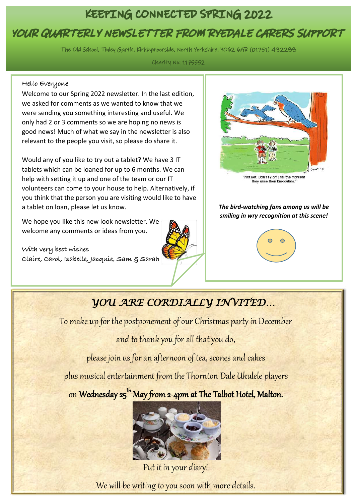## KEEPING CONNECTED SPRING 2022

# YOUR QUARTERLY NEWSLETTER FROM RYEDALE CARERS SUPPORT

The Old School, Tinley Garth, Kirkbymoorside, North Yorkshire, YO62 6AR (01751) 432288

Charity No: 1175552

#### **Hello Everyone**

Ī

Welcome to our Spring 2022 newsletter. In the last edition, we asked for comments as we wanted to know that we were sending you something interesting and useful. We only had 2 or 3 comments so we are hoping no news is good news! Much of what we say in the newsletter is also relevant to the people you visit, so please do share it.

Would any of you like to try out a tablet? We have 3 IT tablets which can be loaned for up to 6 months. We can help with setting it up and one of the team or our IT volunteers can come to your house to help. Alternatively, if you think that the person you are visiting would like to have a tablet on loan, please let us know.

We hope you like this new look newsletter. We welcome any comments or ideas from you.

**With very best wishes Claire, Carol, Isabelle, Jacquie, Sam & Sarah**





*The bird-watching fans among us will be smiling in wry recognition at this scene!*



# *YOU ARE CORDIALLY INVITED…*

To make up for the postponement of our Christmas party in December

and to thank you for all that you do,

please join us for an afternoon of tea, scones and cakes

plus musical entertainment from the Thornton Dale Ukulele players

on Wednesday 25<sup>th</sup> May from 2-4pm at The Talbot Hotel, Malton.



Put it in your diary!

We will be writing to you soon with more details.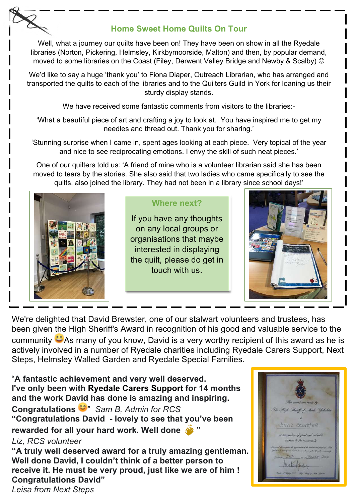

#### **Home Sweet Home Quilts On Tour**

Well, what a journey our quilts have been on! They have been on show in all the Ryedale libraries (Norton, Pickering, Helmsley, Kirkbymoorside, Malton) and then, by popular demand, moved to some libraries on the Coast (Filey, Derwent Valley Bridge and Newby & Scalby)  $\circledcirc$ 

We'd like to say a huge 'thank you' to Fiona Diaper, Outreach Librarian, who has arranged and transported the quilts to each of the libraries and to the Quilters Guild in York for loaning us their sturdy display stands.

We have received some fantastic comments from visitors to the libraries:-

'What a beautiful piece of art and crafting a joy to look at. You have inspired me to get my needles and thread out. Thank you for sharing.'

'Stunning surprise when I came in, spent ages looking at each piece. Very topical of the year and nice to see reciprocating emotions. I envy the skill of such neat pieces.'

One of our quilters told us: 'A friend of mine who is a volunteer librarian said she has been moved to tears by the stories. She also said that two ladies who came specifically to see the quilts, also joined the library. They had not been in a library since school days!'



#### **Where next?**

If you have any thoughts on any local groups or organisations that maybe interested in displaying the quilt, please do get in touch with us.



We're delighted that David Brewster, one of our stalwart volunteers and trustees, has been given the High Sheriff's Award in recognition of his good and valuable service to the community  $\cup$  As many of you know, David is a very worthy recipient of this award as he is actively involved in a number of Ryedale charities including Ryedale Carers Support, Next Steps, Helmsley Walled Garden and Ryedale Special Families.

"**A fantastic achievement and very well deserved. I've only been with Ryedale Carers Support for 14 months and the work David has done is amazing and inspiring. Congratulations** " *Sam B, Admin for RCS* **"Congratulations David - lovely to see that you've been rewarded for all your hard work. Well done** *" Liz, RCS volunteer*

**"A truly well deserved award for a truly amazing gentleman. Well done David, I couldn't think of a better person to receive it. He must be very proud, just like we are of him ! Congratulations David"**



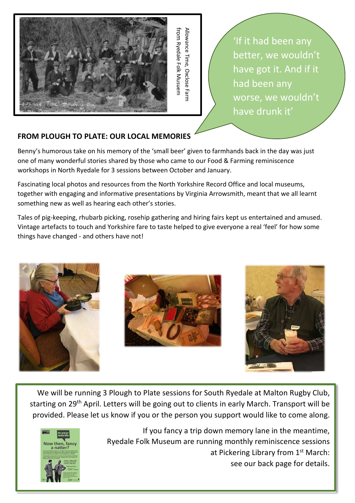

from Ryedale Folk Musuen Allowance Time, Oxclose Farn Allowance Time, Oxclose Farm Ryedale Folk Musuem

'If it had been any better, we wouldn't have got it. And if it had been any worse, we wouldn't have drunk it'

#### **FROM PLOUGH TO PLATE: OUR LOCAL MEMORIES**

Benny's humorous take on his memory of the 'small beer' given to farmhands back in the day was just one of many wonderful stories shared by those who came to our Food & Farming reminiscence workshops in North Ryedale for 3 sessions between October and January.

Fascinating local photos and resources from the North Yorkshire Record Office and local museums, together with engaging and informative presentations by Virginia Arrowsmith, meant that we all learnt something new as well as hearing each other's stories.

Tales of pig-keeping, rhubarb picking, rosehip gathering and hiring fairs kept us entertained and amused. Vintage artefacts to touch and Yorkshire fare to taste helped to give everyone a real 'feel' for how some things have changed - and others have not!



We will be running 3 Plough to Plate sessions for South Ryedale at Malton Rugby Club, starting on 29<sup>th</sup> April. Letters will be going out to clients in early March. Transport will be provided. Please let us know if you or the person you support would like to come along.



If you fancy a trip down memory lane in the meantime, Ryedale Folk Museum are running monthly reminiscence sessions at Pickering Library from 1st March: see our back page for details.